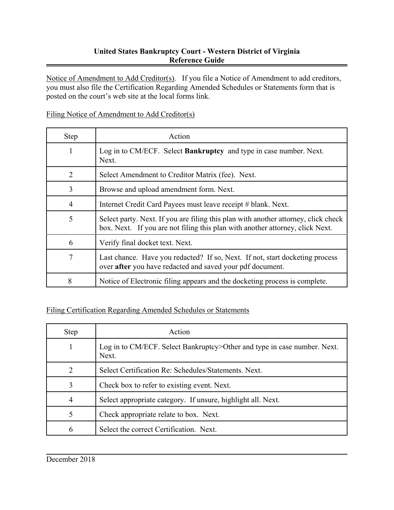## **United States Bankruptcy Court - Western District of Virginia Reference Guide**

Notice of Amendment to Add Creditor(s). If you file a Notice of Amendment to add creditors, you must also file the Certification Regarding Amended Schedules or Statements form that is posted on the court's web site at the local forms link.

## Filing Notice of Amendment to Add Creditor(s)

| <b>Step</b> | Action                                                                                                                                                              |
|-------------|---------------------------------------------------------------------------------------------------------------------------------------------------------------------|
|             | Log in to CM/ECF. Select Bankruptcy and type in case number. Next.<br>Next.                                                                                         |
| 2           | Select Amendment to Creditor Matrix (fee). Next.                                                                                                                    |
| 3           | Browse and upload amendment form. Next.                                                                                                                             |
| 4           | Internet Credit Card Payees must leave receipt # blank. Next.                                                                                                       |
| 5           | Select party. Next. If you are filing this plan with another attorney, click check<br>box. Next. If you are not filing this plan with another attorney, click Next. |
| 6           | Verify final docket text. Next.                                                                                                                                     |
| 7           | Last chance. Have you redacted? If so, Next. If not, start docketing process<br>over after you have redacted and saved your pdf document.                           |
| 8           | Notice of Electronic filing appears and the docketing process is complete.                                                                                          |

## Filing Certification Regarding Amended Schedules or Statements

| Step                        | Action                                                                            |
|-----------------------------|-----------------------------------------------------------------------------------|
|                             | Log in to CM/ECF. Select Bankruptcy>Other and type in case number. Next.<br>Next. |
| $\mathcal{D}_{\mathcal{L}}$ | Select Certification Re: Schedules/Statements, Next.                              |
| 3                           | Check box to refer to existing event. Next.                                       |
| 4                           | Select appropriate category. If unsure, highlight all. Next.                      |
| 5                           | Check appropriate relate to box. Next.                                            |
|                             | Select the correct Certification. Next.                                           |